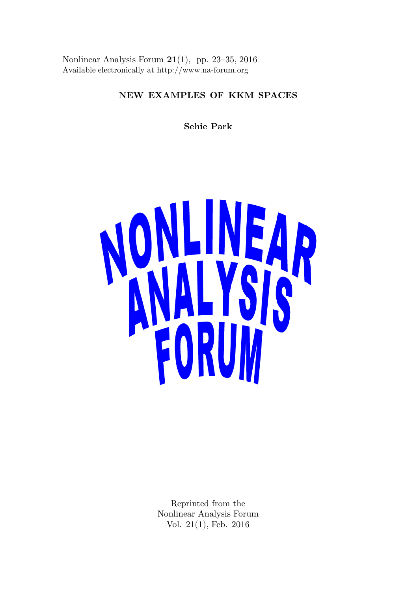Nonlinear Analysis Forum 21(1), pp. 23–35, 2016 Available electronically at http://www.na-forum.org

# NEW EXAMPLES OF KKM SPACES

Sehie Park



Reprinted from the Nonlinear Analysis Forum Vol. 21(1), Feb. 2016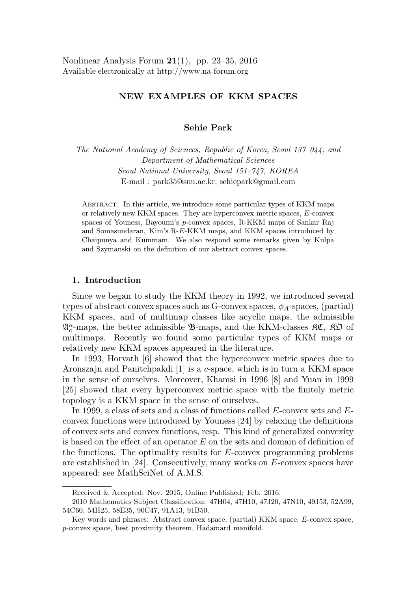Nonlinear Analysis Forum  $21(1)$ , pp. 23–35, 2016 Available electronically at http://www.na-forum.org

# NEW EXAMPLES OF KKM SPACES

## Sehie Park

The National Academy of Sciences, Republic of Korea, Seoul 137–044; and Department of Mathematical Sciences Seoul National University, Seoul 151–747, KOREA E-mail : park35@snu.ac.kr, sehiepark@gmail.com

Abstract. In this article, we introduce some particular types of KKM maps or relatively new KKM spaces. They are hyperconvex metric spaces, E-convex spaces of Youness, Bayoumi's p-convex spaces, R-KKM maps of Sankar Raj and Somasundaran, Kim's R-E-KKM maps, and KKM spaces introduced by Chaipunya and Kummam. We also respond some remarks given by Kulpa and Szymanski on the definition of our abstract convex spaces.

### 1. Introduction

Since we began to study the KKM theory in 1992, we introduced several types of abstract convex spaces such as G-convex spaces,  $\phi_A$ -spaces, (partial) KKM spaces, and of multimap classes like acyclic maps, the admissible  $\mathfrak{A}^{\kappa}_c$ -maps, the better admissible  $\mathfrak{B}$ -maps, and the KKM-classes  $\mathfrak{K} \mathfrak{C}$ ,  $\mathfrak{K} \mathfrak{O}$  of multimaps. Recently we found some particular types of KKM maps or relatively new KKM spaces appeared in the literature.

In 1993, Horvath [6] showed that the hyperconvex metric spaces due to Aronszajn and Panitchpakdi [1] is a c-space, which is in turn a KKM space in the sense of ourselves. Moreover, Khamsi in 1996 [8] and Yuan in 1999 [25] showed that every hyperconvex metric space with the finitely metric topology is a KKM space in the sense of ourselves.

In 1999, a class of sets and a class of functions called E-convex sets and Econvex functions were introduced by Youness [24] by relaxing the definitions of convex sets and convex functions, resp. This kind of generalized convexity is based on the effect of an operator  $E$  on the sets and domain of definition of the functions. The optimality results for  $E$ -convex programming problems are established in [24]. Consecutively, many works on  $E$ -convex spaces have appeared; see MathSciNet of A.M.S.

Received & Accepted: Nov. 2015, Online Published: Feb. 2016.

<sup>2010</sup> Mathematics Subject Classification: 47H04, 47H10, 47J20, 47N10, 49J53, 52A99, 54C60, 54H25, 58E35, 90C47, 91A13, 91B50.

Key words and phrases: Abstract convex space, (partial) KKM space, E-convex space, p-convex space, best proximity theorem, Hadamard manifold.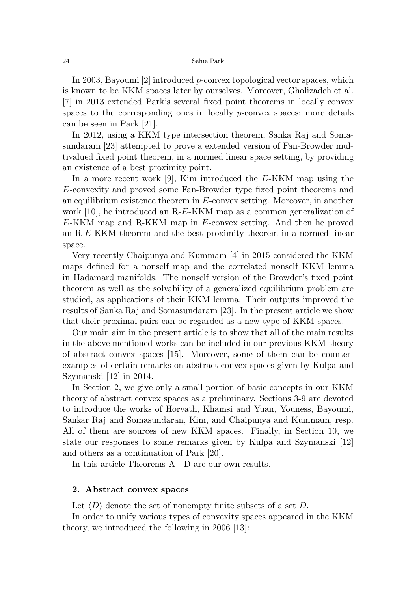In 2003, Bayoumi [2] introduced *p*-convex topological vector spaces, which is known to be KKM spaces later by ourselves. Moreover, Gholizadeh et al. [7] in 2013 extended Park's several fixed point theorems in locally convex spaces to the corresponding ones in locally *p*-convex spaces; more details can be seen in Park [21].

In 2012, using a KKM type intersection theorem, Sanka Raj and Somasundaram [23] attempted to prove a extended version of Fan-Browder multivalued fixed point theorem, in a normed linear space setting, by providing an existence of a best proximity point.

In a more recent work [9], Kim introduced the E-KKM map using the E-convexity and proved some Fan-Browder type fixed point theorems and an equilibrium existence theorem in E-convex setting. Moreover, in another work [10], he introduced an R-E-KKM map as a common generalization of E-KKM map and R-KKM map in E-convex setting. And then he proved an R-E-KKM theorem and the best proximity theorem in a normed linear space.

Very recently Chaipunya and Kummam [4] in 2015 considered the KKM maps defined for a nonself map and the correlated nonself KKM lemma in Hadamard manifolds. The nonself version of the Browder's fixed point theorem as well as the solvability of a generalized equilibrium problem are studied, as applications of their KKM lemma. Their outputs improved the results of Sanka Raj and Somasundaram [23]. In the present article we show that their proximal pairs can be regarded as a new type of KKM spaces.

Our main aim in the present article is to show that all of the main results in the above mentioned works can be included in our previous KKM theory of abstract convex spaces [15]. Moreover, some of them can be counterexamples of certain remarks on abstract convex spaces given by Kulpa and Szymanski [12] in 2014.

In Section 2, we give only a small portion of basic concepts in our KKM theory of abstract convex spaces as a preliminary. Sections 3-9 are devoted to introduce the works of Horvath, Khamsi and Yuan, Youness, Bayoumi, Sankar Raj and Somasundaran, Kim, and Chaipunya and Kummam, resp. All of them are sources of new KKM spaces. Finally, in Section 10, we state our responses to some remarks given by Kulpa and Szymanski [12] and others as a continuation of Park [20].

In this article Theorems A - D are our own results.

## 2. Abstract convex spaces

Let  $\langle D \rangle$  denote the set of nonempty finite subsets of a set D.

In order to unify various types of convexity spaces appeared in the KKM theory, we introduced the following in 2006 [13]: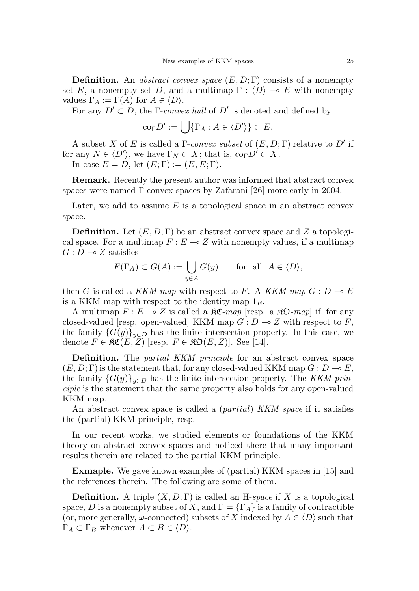**Definition.** An abstract convex space  $(E, D; \Gamma)$  consists of a nonempty set E, a nonempty set D, and a multimap  $\Gamma : \langle D \rangle \to E$  with nonempty values  $\Gamma_A := \Gamma(A)$  for  $A \in \langle D \rangle$ .

For any  $D' \subset D$ , the *Γ-convex hull* of  $D'$  is denoted and defined by

$$
\mathrm{co}_{\Gamma} D' := \bigcup \{ \Gamma_A : A \in \langle D' \rangle \} \subset E.
$$

A subset X of E is called a  $\Gamma$ -convex subset of  $(E, D; \Gamma)$  relative to D' if for any  $N \in \langle D' \rangle$ , we have  $\Gamma_N \subset X$ ; that is,  $\text{co}_{\Gamma} D' \subset X$ . In case  $E = D$ , let  $(E; \Gamma) := (E, E; \Gamma)$ .

Remark. Recently the present author was informed that abstract convex spaces were named  $\Gamma$ -convex spaces by Zafarani [26] more early in 2004.

Later, we add to assume  $E$  is a topological space in an abstract convex space.

**Definition.** Let  $(E, D; \Gamma)$  be an abstract convex space and Z a topological space. For a multimap  $F : E \to Z$  with nonempty values, if a multimap  $G: D \longrightarrow Z$  satisfies

$$
F(\Gamma_A) \subset G(A) := \bigcup_{y \in A} G(y) \quad \text{for all } A \in \langle D \rangle,
$$

then G is called a KKM map with respect to F. A KKM map  $G: D \to E$ is a KKM map with respect to the identity map  $1<sub>E</sub>$ .

A multimap  $F : E \longrightarrow Z$  is called a  $\Re \mathfrak{C}$ -map [resp. a  $\Re \mathfrak{O}$ -map] if, for any closed-valued [resp. open-valued] KKM map  $G: D \to Z$  with respect to F, the family  ${G(y)}_{y\in D}$  has the finite intersection property. In this case, we denote  $F \in \mathfrak{RC}(E, Z)$  [resp.  $F \in \mathfrak{RO}(E, Z)$ ]. See [14].

**Definition.** The *partial KKM principle* for an abstract convex space  $(E, D; \Gamma)$  is the statement that, for any closed-valued KKM map  $G: D \to E$ , the family  $\{G(y)\}_{y\in D}$  has the finite intersection property. The KKM principle is the statement that the same property also holds for any open-valued KKM map.

An abstract convex space is called a *(partial) KKM space* if it satisfies the (partial) KKM principle, resp.

In our recent works, we studied elements or foundations of the KKM theory on abstract convex spaces and noticed there that many important results therein are related to the partial KKM principle.

Exmaple. We gave known examples of (partial) KKM spaces in [15] and the references therein. The following are some of them.

**Definition.** A triple  $(X, D; \Gamma)$  is called an H-space if X is a topological space, D is a nonempty subset of X, and  $\Gamma = {\Gamma_A}$  is a family of contractible (or, more generally,  $\omega$ -connected) subsets of X indexed by  $A \in \langle D \rangle$  such that  $\Gamma_A \subset \Gamma_B$  whenever  $A \subset B \in \langle D \rangle$ .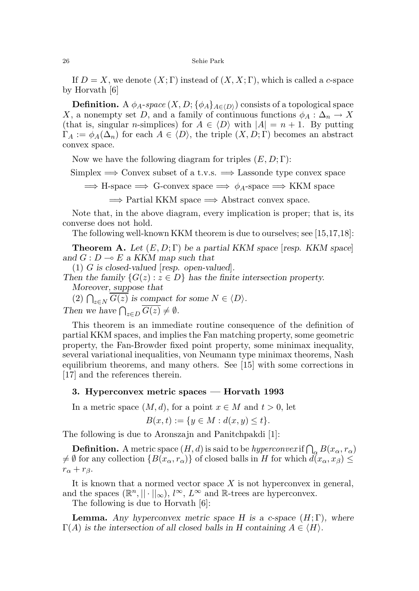If  $D = X$ , we denote  $(X; \Gamma)$  instead of  $(X, X; \Gamma)$ , which is called a c-space by Horvath [6]

 $\mathbf D$ efinition. A  $\phi_A\text{-}space$   $(X,D;\{\phi_A\}_{A\in\langle D\rangle})$  consists of a topological space X, a nonempty set D, and a family of continuous functions  $\phi_A : \Delta_n \to X$ (that is, singular *n*-simplices) for  $A \in \langle D \rangle$  with  $|A| = n + 1$ . By putting  $\Gamma_A := \phi_A(\Delta_n)$  for each  $A \in \langle D \rangle$ , the triple  $(X, D; \Gamma)$  becomes an abstract convex space.

Now we have the following diagram for triples  $(E, D; \Gamma)$ :

Simplex  $\Rightarrow$  Convex subset of a t.v.s.  $\Rightarrow$  Lassonde type convex space

 $\implies$  H-space  $\implies$  G-convex space  $\implies \phi_A$ -space  $\implies$  KKM space

 $\implies$  Partial KKM space  $\implies$  Abstract convex space.

Note that, in the above diagram, every implication is proper; that is, its converse does not hold.

The following well-known KKM theorem is due to ourselves; see [15,17,18]:

**Theorem A.** Let  $(E, D; \Gamma)$  be a partial KKM space [resp. KKM space] and  $G : D \to E$  a KKM map such that

(1) G is closed-valued [resp. open-valued].

Then the family  $\{G(z): z \in D\}$  has the finite intersection property. Moreover, suppose that

(2)  $\bigcap_{z \in N} G(z)$  is compact for some  $N \in \langle D \rangle$ .

Then we have  $\bigcap_{z\in D} G(z) \neq \emptyset$ .

This theorem is an immediate routine consequence of the definition of partial KKM spaces, and implies the Fan matching property, some geometric property, the Fan-Browder fixed point property, some minimax inequality, several variational inequalities, von Neumann type minimax theorems, Nash equilibrium theorems, and many others. See [15] with some corrections in [17] and the references therein.

### 3. Hyperconvex metric spaces — Horvath 1993

In a metric space  $(M, d)$ , for a point  $x \in M$  and  $t > 0$ , let

$$
B(x,t) := \{ y \in M : d(x,y) \le t \}.
$$

The following is due to Aronszajn and Panitchpakdi [1]:

**Definition.** A metric space  $(H, d)$  is said to be hyperconvex if  $\bigcap_{\alpha} B(x_{\alpha}, r_{\alpha})$  $\neq \emptyset$  for any collection  $\{B(x_\alpha, r_\alpha)\}\$  of closed balls in H for which  $d(x_\alpha, x_\beta) \leq$  $r_{\alpha} + r_{\beta}$ .

It is known that a normed vector space  $X$  is not hyperconvex in general, and the spaces  $(\mathbb{R}^n, || \cdot ||_{\infty}), l^{\infty}, L^{\infty}$  and  $\mathbb{R}$ -trees are hyperconvex.

The following is due to Horvath [6]:

**Lemma.** Any hyperconvex metric space H is a c-space  $(H; \Gamma)$ , where  $\Gamma(A)$  is the intersection of all closed balls in H containing  $A \in \langle H \rangle$ .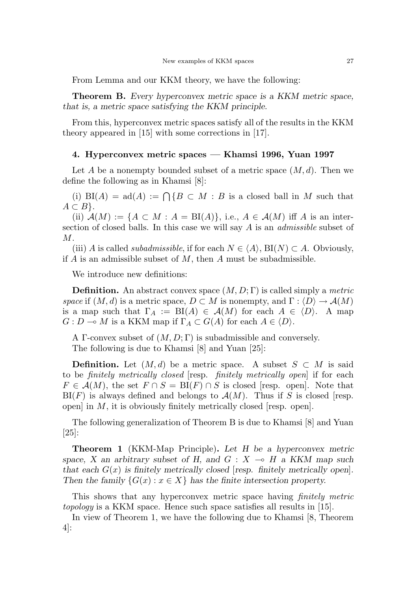From Lemma and our KKM theory, we have the following:

**Theorem B.** Every hyperconvex metric space is a KKM metric space, that is, a metric space satisfying the KKM principle.

From this, hyperconvex metric spaces satisfy all of the results in the KKM theory appeared in [15] with some corrections in [17].

# 4. Hyperconvex metric spaces — Khamsi 1996, Yuan 1997

Let A be a nonempty bounded subset of a metric space  $(M, d)$ . Then we define the following as in Khamsi [8]:

(i)  $BI(A) = ad(A) := \bigcap \{B \subset M : B \text{ is a closed ball in } M \text{ such that }$  $A \subset B$ .

(ii)  $\mathcal{A}(M) := \{A \subset M : A = \text{BI}(A)\}\text{, i.e., } A \in \mathcal{A}(M) \text{ iff } A \text{ is an inter-}$ section of closed balls. In this case we will say A is an admissible subset of M.

(iii) A is called *subadmissible*, if for each  $N \in \langle A \rangle$ , BI(N)  $\subset A$ . Obviously, if  $A$  is an admissible subset of  $M$ , then  $A$  must be subadmissible.

We introduce new definitions:

**Definition.** An abstract convex space  $(M, D; \Gamma)$  is called simply a *metric* space if  $(M, d)$  is a metric space,  $D \subset M$  is nonempty, and  $\Gamma : \langle D \rangle \to \mathcal{A}(M)$ is a map such that  $\Gamma_A := \text{BI}(A) \in \mathcal{A}(M)$  for each  $A \in \langle D \rangle$ . A map  $G: D \longrightarrow M$  is a KKM map if  $\Gamma_A \subset G(A)$  for each  $A \in \langle D \rangle$ .

A Γ-convex subset of  $(M, D; \Gamma)$  is subadmissible and conversely. The following is due to Khamsi [8] and Yuan [25]:

**Definition.** Let  $(M, d)$  be a metric space. A subset  $S \subset M$  is said to be finitely metrically closed [resp. finitely metrically open] if for each  $F \in \mathcal{A}(M)$ , the set  $F \cap S = \text{BI}(F) \cap S$  is closed [resp. open]. Note that  $B(f)$  is always defined and belongs to  $\mathcal{A}(M)$ . Thus if S is closed [resp. open] in  $M$ , it is obviously finitely metrically closed [resp. open].

The following generalization of Theorem B is due to Khamsi [8] and Yuan [25]:

Theorem 1 (KKM-Map Principle). Let H be a hyperconvex metric space, X an arbitrary subset of H, and  $G : X \multimap H$  a KKM map such that each  $G(x)$  is finitely metrically closed [resp. finitely metrically open]. Then the family  $\{G(x) : x \in X\}$  has the finite intersection property.

This shows that any hyperconvex metric space having *finitely metric* topology is a KKM space. Hence such space satisfies all results in [15].

In view of Theorem 1, we have the following due to Khamsi [8, Theorem 4]: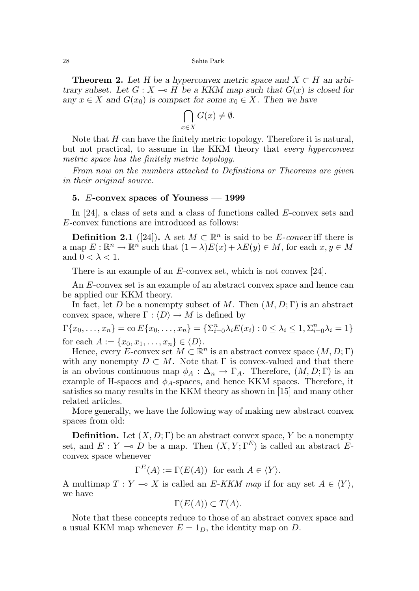**Theorem 2.** Let H be a hyperconvex metric space and  $X \subset H$  an arbitrary subset. Let  $G: X \to H$  be a KKM map such that  $G(x)$  is closed for any  $x \in X$  and  $G(x_0)$  is compact for some  $x_0 \in X$ . Then we have

$$
\bigcap_{x \in X} G(x) \neq \emptyset.
$$

Note that  $H$  can have the finitely metric topology. Therefore it is natural, but not practical, to assume in the KKM theory that every hyperconvex metric space has the finitely metric topology.

From now on the numbers attached to Definitions or Theorems are given in their original source.

## 5. E-convex spaces of Youness  $-1999$

In [24], a class of sets and a class of functions called E-convex sets and E-convex functions are introduced as follows:

**Definition 2.1** ([24]). A set  $M \subset \mathbb{R}^n$  is said to be *E-convex* iff there is a map  $E: \mathbb{R}^n \to \mathbb{R}^n$  such that  $(1 - \lambda)E(x) + \lambda E(y) \in M$ , for each  $x, y \in M$ and  $0 < \lambda < 1$ .

There is an example of an  $E$ -convex set, which is not convex [24].

An E-convex set is an example of an abstract convex space and hence can be applied our KKM theory.

In fact, let D be a nonempty subset of M. Then  $(M, D; \Gamma)$  is an abstract convex space, where  $\Gamma : \langle D \rangle \to M$  is defined by

 $\Gamma\{x_0, \ldots, x_n\} = \text{co}\,E\{x_0, \ldots, x_n\} = \{\sum_{i=0}^n \lambda_i E(x_i) : 0 \le \lambda_i \le 1, \sum_{i=0}^n \lambda_i = 1\}$ for each  $A := \{x_0, x_1, \ldots, x_n\} \in \langle D \rangle$ .

Hence, every E-convex set  $M \subset \mathbb{R}^n$  is an abstract convex space  $(M, D; \Gamma)$ with any nonempty  $D \subset M$ . Note that  $\Gamma$  is convex-valued and that there is an obvious continuous map  $\phi_A : \Delta_n \to \Gamma_A$ . Therefore,  $(M, D; \Gamma)$  is an example of H-spaces and  $\phi_A$ -spaces, and hence KKM spaces. Therefore, it satisfies so many results in the KKM theory as shown in [15] and many other related articles.

More generally, we have the following way of making new abstract convex spaces from old:

**Definition.** Let  $(X, D; \Gamma)$  be an abstract convex space, Y be a nonempty set, and  $E: Y \multimap D$  be a map. Then  $(X, Y; \Gamma^E)$  is called an abstract Econvex space whenever

 $\Gamma^{E}(A) := \Gamma(E(A))$  for each  $A \in \langle Y \rangle$ .

A multimap  $T : Y \multimap X$  is called an E-KKM map if for any set  $A \in \langle Y \rangle$ , we have

$$
\Gamma(E(A)) \subset T(A).
$$

Note that these concepts reduce to those of an abstract convex space and a usual KKM map whenever  $E = 1_D$ , the identity map on D.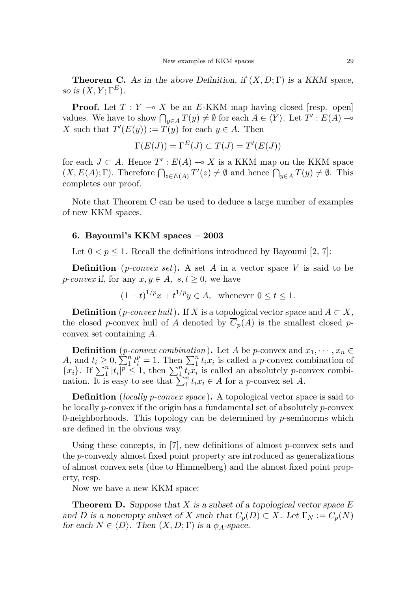**Theorem C.** As in the above Definition, if  $(X, D; \Gamma)$  is a KKM space, so is  $(X, Y; \Gamma^E)$ .

**Proof.** Let  $T : Y \multimap X$  be an E-KKM map having closed [resp. open] values. We have to show  $\bigcap_{y\in A} T(y) \neq \emptyset$  for each  $A \in \langle Y \rangle$ . Let  $T' : E(A) \longrightarrow$ X such that  $T'(E(y)) := T(y)$  for each  $y \in A$ . Then

$$
\Gamma(E(J)) = \Gamma^{E}(J) \subset T(J) = T'(E(J))
$$

for each  $J \subset A$ . Hence  $T' : E(A) \to X$  is a KKM map on the KKM space  $(X, E(A); \Gamma)$ . Therefore  $\bigcap_{z \in E(A)} T'(z) \neq \emptyset$  and hence  $\bigcap_{y \in A} T(y) \neq \emptyset$ . This completes our proof.

Note that Theorem C can be used to deduce a large number of examples of new KKM spaces.

### 6. Bayoumi's KKM spaces – 2003

Let  $0 < p \leq 1$ . Recall the definitions introduced by Bayoumi [2, 7]:

**Definition** (*p-convex set*). A set A in a vector space V is said to be *p*-convex if, for any  $x, y \in A$ ,  $s, t \geq 0$ , we have

$$
(1-t)^{1/p}x + t^{1/p}y \in A
$$
, whenever  $0 \le t \le 1$ .

**Definition** (*p-convex hull*). If X is a topological vector space and  $A \subset X$ , the closed p-convex hull of A denoted by  $\overline{C}_p(A)$  is the smallest closed pconvex set containing A.

**Definition** (*p-convex combination*). Let A be *p*-convex and  $x_1, \dots, x_n \in$ A, and  $t_i \geq 0$ ,  $\sum_{i=1}^{n} t_i^p = 1$ . Then  $\sum_{i=1}^{n} t_i x_i$  is called a *p*-convex combination of  $\{x_i\}$ . If  $\sum_{1}^{n} |t_i|^p \leq 1$ , then  $\sum_{1}^{n} \overline{t_i x_i}$  is called an absolutely *p*-convex combination. It is easy to see that  $\sum_{i=1}^{n} t_i x_i \in A$  for a *p*-convex set A.

**Definition** (locally p-convex space). A topological vector space is said to be locally p-convex if the origin has a fundamental set of absolutely p-convex 0-neighborhoods. This topology can be determined by  $p$ -seminorms which are defined in the obvious way.

Using these concepts, in [7], new definitions of almost p-convex sets and the p-convexly almost fixed point property are introduced as generalizations of almost convex sets (due to Himmelberg) and the almost fixed point property, resp.

Now we have a new KKM space:

**Theorem D.** Suppose that X is a subset of a topological vector space  $E$ and D is a nonempty subset of X such that  $C_p(D) \subset X$ . Let  $\Gamma_N := C_p(N)$ for each  $N \in \langle D \rangle$ . Then  $(X, D; \Gamma)$  is a  $\phi_A$ -space.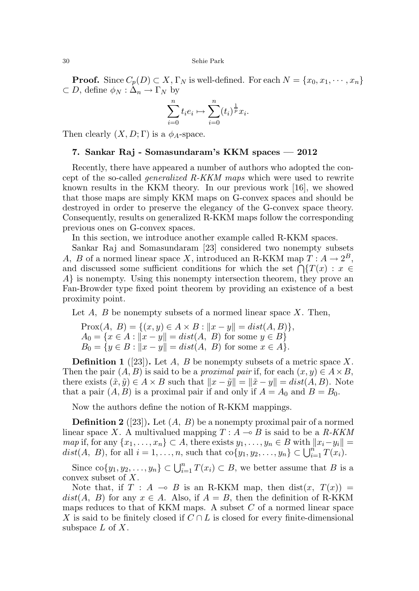**Proof.** Since  $C_p(D) \subset X$ ,  $\Gamma_N$  is well-defined. For each  $N = \{x_0, x_1, \dots, x_n\}$  $\subset D$ , define  $\phi_N : \Delta_n \to \Gamma_N$  by

$$
\sum_{i=0}^{n} t_i e_i \mapsto \sum_{i=0}^{n} (t_i)^{\frac{1}{p}} x_i.
$$

Then clearly  $(X, D; \Gamma)$  is a  $\phi_A$ -space.

# 7. Sankar Raj - Somasundaram's KKM spaces — 2012

Recently, there have appeared a number of authors who adopted the concept of the so-called *generalized R-KKM maps* which were used to rewrite known results in the KKM theory. In our previous work [16], we showed that those maps are simply KKM maps on G-convex spaces and should be destroyed in order to preserve the elegancy of the G-convex space theory. Consequently, results on generalized R-KKM maps follow the corresponding previous ones on G-convex spaces.

In this section, we introduce another example called R-KKM spaces.

Sankar Raj and Somasundaram [23] considered two nonempty subsets A, B of a normed linear space X, introduced an R-KKM map  $T: A \to 2^B$ , and discussed some sufficient conditions for which the set  $\bigcap \{T(x) : x \in$ A} is nonempty. Using this nonempty intersection theorem, they prove an Fan-Browder type fixed point theorem by providing an existence of a best proximity point.

Let  $A$ ,  $B$  be nonempty subsets of a normed linear space  $X$ . Then,

$$
\text{Prox}(A, B) = \{(x, y) \in A \times B : ||x - y|| = dist(A, B)\},\newline A_0 = \{x \in A : ||x - y|| = dist(A, B) \text{ for some } y \in B\}
$$
\n
$$
B_0 = \{y \in B : ||x - y|| = dist(A, B) \text{ for some } x \in A\}.
$$

**Definition 1** ([23]). Let A, B be nonempty subsets of a metric space X. Then the pair  $(A, B)$  is said to be a *proximal pair* if, for each  $(x, y) \in A \times B$ , there exists  $(\tilde{x}, \tilde{y}) \in A \times B$  such that  $||x - \tilde{y}|| = ||\tilde{x} - y|| = dist(A, B)$ . Note that a pair  $(A, B)$  is a proximal pair if and only if  $A = A_0$  and  $B = B_0$ .

Now the authors define the notion of R-KKM mappings.

**Definition 2** ([23]). Let  $(A, B)$  be a nonempty proximal pair of a normed linear space X. A multivalued mapping  $T : A \rightarrow B$  is said to be a R-KKM map if, for any  $\{x_1, \ldots, x_n\} \subset A$ , there exists  $y_1, \ldots, y_n \in B$  with  $||x_i-y_i|| =$  $dist(A, B)$ , for all  $i = 1, ..., n$ , such that  $co{y_1, y_2, ..., y_n} \subset \bigcup_{i=1}^{n} T(x_i)$ .

Since  $co\{y_1, y_2, \ldots, y_n\} \subset \bigcup_{i=1}^n T(x_i) \subset B$ , we better assume that B is a convex subset of X.

Note that, if  $T : A \multimap B$  is an R-KKM map, then dist $(x, T(x)) =$  $dist(A, B)$  for any  $x \in A$ . Also, if  $A = B$ , then the definition of R-KKM maps reduces to that of KKM maps. A subset  $C$  of a normed linear space X is said to be finitely closed if  $C \cap L$  is closed for every finite-dimensional subspace  $L$  of  $X$ .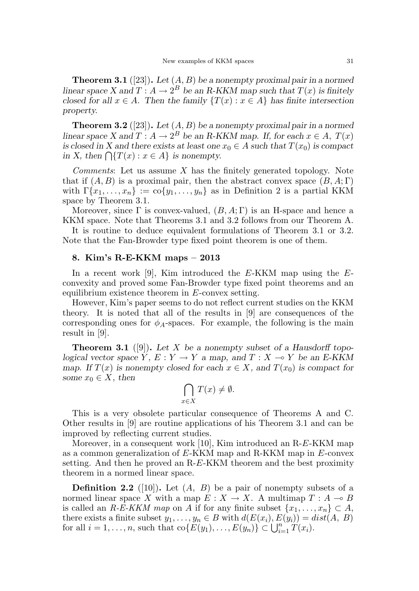**Theorem 3.1** ([23]). Let  $(A, B)$  be a nonempty proximal pair in a normed linear space X and  $T: A \to 2^B$  be an R-KKM map such that  $T(x)$  is finitely closed for all  $x \in A$ . Then the family  $\{T(x) : x \in A\}$  has finite intersection property.

**Theorem 3.2** ([23]). Let  $(A, B)$  be a nonempty proximal pair in a normed linear space X and  $T: A \to 2^B$  be an R-KKM map. If, for each  $x \in A$ ,  $T(x)$ is closed in X and there exists at least one  $x_0 \in A$  such that  $T(x_0)$  is compact in X, then  $\bigcap \{T(x) : x \in A\}$  is nonempty.

Comments: Let us assume X has the finitely generated topology. Note that if  $(A, B)$  is a proximal pair, then the abstract convex space  $(B, A; \Gamma)$ with  $\Gamma\{x_1,\ldots,x_n\} := \text{co}\{y_1,\ldots,y_n\}$  as in Definition 2 is a partial KKM space by Theorem 3.1.

Moreover, since  $\Gamma$  is convex-valued,  $(B, A; \Gamma)$  is an H-space and hence a KKM space. Note that Theorems 3.1 and 3.2 follows from our Theorem A.

It is routine to deduce equivalent formulations of Theorem 3.1 or 3.2. Note that the Fan-Browder type fixed point theorem is one of them.

### 8. Kim's R-E-KKM maps – 2013

In a recent work  $[9]$ , Kim introduced the E-KKM map using the Econvexity and proved some Fan-Browder type fixed point theorems and an equilibrium existence theorem in  $E$ -convex setting.

However, Kim's paper seems to do not reflect current studies on the KKM theory. It is noted that all of the results in [9] are consequences of the corresponding ones for  $\phi_A$ -spaces. For example, the following is the main result in [9].

**Theorem 3.1** ([9]). Let X be a nonempty subset of a Hausdorff topological vector space Y,  $E: Y \to Y$  a map, and  $T: X \to Y$  be an E-KKM map. If  $T(x)$  is nonempty closed for each  $x \in X$ , and  $T(x_0)$  is compact for some  $x_0 \in X$ , then

$$
\bigcap_{x \in X} T(x) \neq \emptyset.
$$

This is a very obsolete particular consequence of Theorems A and C. Other results in [9] are routine applications of his Theorem 3.1 and can be improved by reflecting current studies.

Moreover, in a consequent work [10], Kim introduced an R-E-KKM map as a common generalization of  $E$ -KKM map and R-KKM map in  $E$ -convex setting. And then he proved an R-E-KKM theorem and the best proximity theorem in a normed linear space.

**Definition 2.2** ([10]). Let  $(A, B)$  be a pair of nonempty subsets of a normed linear space X with a map  $E: X \to X$ . A multimap  $T: A \to B$ is called an R-E-KKM map on A if for any finite subset  $\{x_1, \ldots, x_n\} \subset A$ , there exists a finite subset  $y_1, \ldots, y_n \in B$  with  $d(E(x_i), E(y_i)) = dist(A, B)$ for all  $i = 1, \ldots, n$ , such that  $\text{co}\{E(y_1), \ldots, E(y_n)\} \subset \bigcup_{i=1}^n T(x_i)$ .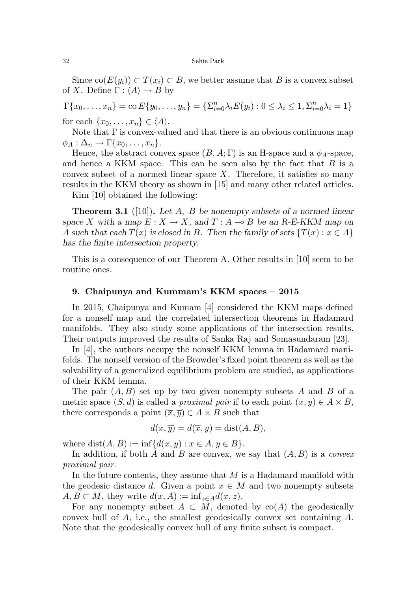Since  $\text{co}(E(y_i)) \subset T(x_i) \subset B$ , we better assume that B is a convex subset of X. Define  $\Gamma : \langle A \rangle \rightarrow B$  by

 $\Gamma\{x_0, \ldots, x_n\} = \text{co}\,E\{y_0, \ldots, y_n\} = \{\sum_{i=0}^n \lambda_i E(y_i) : 0 \le \lambda_i \le 1, \sum_{i=0}^n \lambda_i = 1\}$ 

for each  $\{x_0, \ldots, x_n\} \in \langle A \rangle$ .

Note that  $\Gamma$  is convex-valued and that there is an obvious continuous map  $\phi_A : \Delta_n \to \Gamma\{x_0, \ldots, x_n\}.$ 

Hence, the abstract convex space  $(B, A; \Gamma)$  is an H-space and a  $\phi_A$ -space, and hence a KKM space. This can be seen also by the fact that  $B$  is a convex subset of a normed linear space  $X$ . Therefore, it satisfies so many results in the KKM theory as shown in [15] and many other related articles.

Kim [10] obtained the following:

**Theorem 3.1** ([10]). Let A, B be nonempty subsets of a normed linear space X with a map  $E: X \to X$ , and  $T: A \to B$  be an R-E-KKM map on A such that each  $T(x)$  is closed in B. Then the family of sets  $\{T(x): x \in A\}$ has the finite intersection property.

This is a consequence of our Theorem A. Other results in [10] seem to be routine ones.

## 9. Chaipunya and Kummam's KKM spaces – 2015

In 2015, Chaipunya and Kumam [4] considered the KKM maps defined for a nonself map and the correlated intersection theorems in Hadamard manifolds. They also study some applications of the intersection results. Their outputs improved the results of Sanka Raj and Somasundaram [23].

In [4], the authors occupy the nonself KKM lemma in Hadamard manifolds. The nonself version of the Browder's fixed point theorem as well as the solvability of a generalized equilibrium problem are studied, as applications of their KKM lemma.

The pair  $(A, B)$  set up by two given nonempty subsets A and B of a metric space  $(S, d)$  is called a *proximal pair* if to each point  $(x, y) \in A \times B$ , there corresponds a point  $(\overline{x}, \overline{y}) \in A \times B$  such that

$$
d(x, \overline{y}) = d(\overline{x}, y) = \text{dist}(A, B),
$$

where  $dist(A, B) := inf{d(x, y) : x \in A, y \in B}.$ 

In addition, if both A and B are convex, we say that  $(A, B)$  is a *convex* proximal pair.

In the future contents, they assume that  $M$  is a Hadamard manifold with the geodesic distance d. Given a point  $x \in M$  and two nonempty subsets  $A, B \subset M$ , they write  $d(x, A) := \inf_{z \in A} d(x, z)$ .

For any nonempty subset  $A \subset M$ , denoted by  $\text{co}(A)$  the geodesically convex hull of  $A$ , i.e., the smallest geodesically convex set containing  $A$ . Note that the geodesically convex hull of any finite subset is compact.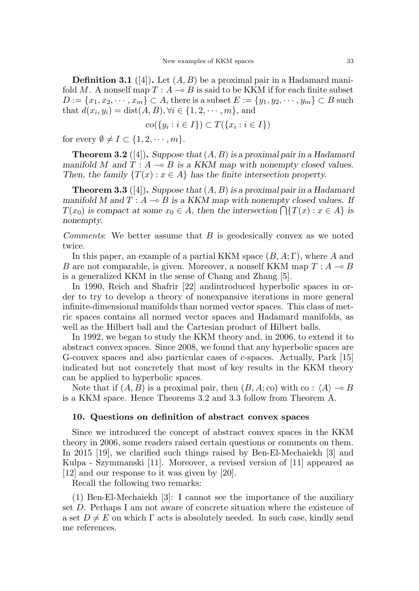**Definition 3.1** ([4]). Let  $(A, B)$  be a proximal pair in a Hadamard manifold M. A nonself map  $T : A \rightarrow B$  is said to be KKM if for each finite subset  $D := \{x_1, x_2, \cdots, x_m\} \subset A$ , there is a subset  $E := \{y_1, y_2, \cdots, y_m\} \subset B$  such that  $d(x_i, y_i) = \text{dist}(A, B), \forall i \in \{1, 2, \dots, m\},$  and

$$
\operatorname{co}(\{y_i : i \in I\}) \subset T(\{x_i : i \in I\})
$$

for every  $\emptyset \neq I \subset \{1, 2, \cdots, m\}.$ 

**Theorem 3.2** ([4]). Suppose that  $(A, B)$  is a proximal pair in a Hadamard manifold M and  $T : A \rightarrow B$  is a KKM map with nonempty closed values. Then, the family  $\{T(x): x \in A\}$  has the finite intersection property.

**Theorem 3.3** ([4]). Suppose that  $(A, B)$  is a proximal pair in a Hadamard manifold M and  $T : A \rightarrow B$  is a KKM map with nonempty closed values. If  $T(x_0)$  is compact at some  $x_0 \in A$ , then the intersection  $\bigcap \{T(x) : x \in A\}$  is nonempty.

*Comments*: We better assume that  $B$  is geodesically convex as we noted twice.

In this paper, an example of a partial KKM space  $(B, A; \Gamma)$ , where A and B are not comparable, is given. Moreover, a nonself KKM map  $T : A \rightarrow B$ is a generalized KKM in the sense of Chang and Zhang [5].

In 1990, Reich and Shafrir [22] andintroduced hyperbolic spaces in order to try to develop a theory of nonexpansive iterations in more general infinite-dimensional manifolds than normed vector spaces. This class of metric spaces contains all normed vector spaces and Hadamard manifolds, as well as the Hilbert ball and the Cartesian product of Hilbert balls.

In 1992, we began to study the KKM theory and, in 2006, to extend it to abstract convex spaces. Since 2008, we found that any hyperbolic spaces are G-convex spaces and also particular cases of c-spaces. Actually, Park [15] indicated but not concretely that most of key results in the KKM theory can be applied to hyperbolic spaces.

Note that if  $(A, B)$  is a proximal pair, then  $(B, A; \text{co})$  with  $\text{co} : \langle A \rangle \rightarrow B$ is a KKM space. Hence Theorems 3.2 and 3.3 follow from Theorem A.

## 10. Questions on definition of abstract convex spaces

Since we introduced the concept of abstract convex spaces in the KKM theory in 2006, some readers raised certain questions or comments on them. In 2015 [19], we clarified such things raised by Ben-El-Mechaiekh [3] and Kulpa - Szymmanski [11]. Moreover, a revised version of [11] appeared as [12] and our response to it was given by [20].

Recall the following two remarks:

(1) Ben-El-Mechaiekh [3]: I cannot see the importance of the auxiliary set D. Perhaps I am not aware of concrete situation where the existence of a set  $D \neq E$  on which  $\Gamma$  acts is absolutely needed. In such case, kindly send me references.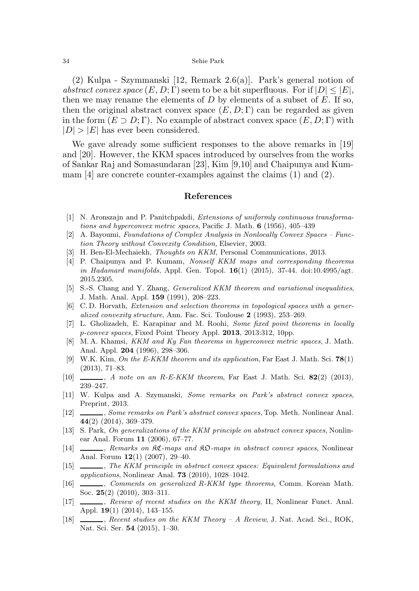(2) Kulpa - Szymmanski [12, Remark 2.6(a)]. Park's general notion of abstract convex space  $(E, D; \Gamma)$  seem to be a bit superfluous. For if  $|D| \leq |E|$ , then we may rename the elements of D by elements of a subset of E. If so, then the original abstract convex space  $(E, D; \Gamma)$  can be regarded as given in the form  $(E \supset D; \Gamma)$ . No example of abstract convex space  $(E, D; \Gamma)$  with  $|D| > |E|$  has ever been considered.

We gave already some sufficient responses to the above remarks in [19] and [20]. However, the KKM spaces introduced by ourselves from the works of Sankar Raj and Somasundaran [23], Kim [9,10] and Chaipunya and Kummam [4] are concrete counter-examples against the claims (1) and (2).

# References

- [1] N. Aronszajn and P. Panitchpakdi, Extensions of uniformly continuous transformations and hyperconvex metric spaces, Pacific J. Math. 6 (1956), 405–439
- [2] A. Bayoumi, Foundations of Complex Analysis in Nonlocally Convex Spaces Function Theory without Convexity Condition, Elsevier, 2003.
- [3] H. Ben-El-Mechaiekh, Thoughts on KKM, Personal Communications, 2013.
- [4] P. Chaipunya and P. Kumam, Nonself KKM maps and corresponding theorems in Hadamard manifolds, Appl. Gen. Topol. 16(1) (2015), 37-44. doi:10.4995/agt. 2015.2305.
- [5] S.-S. Chang and Y. Zhang, Generalized KKM theorem and variational inequalities, J. Math. Anal. Appl. 159 (1991), 208–223.
- [6] C. D. Horvath, Extension and selection theorems in topological spaces with a generalized convexity structure, Ann. Fac. Sci. Toulouse 2 (1993), 253–269.
- [7] L. Gholizadeh, E. Karapinar and M. Roohi, Some fixed point theorems in locally p-convex spaces, Fixed Point Theory Appl. 2013, 2013:312, 10pp.
- [8] M. A. Khamsi, KKM and Ky Fan theorems in hyperconvex metric spaces, J. Math. Anal. Appl. 204 (1996), 298–306.
- [9] W.K. Kim, On the E-KKM theorem and its application, Far East J. Math. Sci. 78(1) (2013), 71–83.
- [10]  $\_\_\_\_\_\$ , A note on an R-E-KKM theorem, Far East J. Math. Sci. 82(2) (2013), 239–247.
- [11] W. Kulpa and A. Szymanski, Some remarks on Park's abstract convex spaces, Preprint, 2013.
- [12] , Some remarks on Park's abstract convex spaces, Top. Meth. Nonlinear Anal. 44(2) (2014), 369–379.
- [13] S. Park, On generalizations of the KKM principle on abstract convex spaces, Nonlinear Anal. Forum 11 (2006), 67–77.
- [14]  $\_\_\_\_\_\$ , Remarks on RC-maps and RO-maps in abstract convex spaces, Nonlinear Anal. Forum 12(1) (2007), 29–40.
- [15]  $\_\_\_\_\_\$ , The KKM principle in abstract convex spaces: Equivalent formulations and applications, Nonlinear Anal. **73** (2010),  $1028-1042$ .
- [16] , Comments on generalized R-KKM type theorems, Comm. Korean Math. Soc. 25(2) (2010), 303–311.
- [17] , Review of recent studies on the KKM theory, II, Nonlinear Funct. Anal. Appl. 19(1) (2014), 143–155.
- [18] , Recent studies on the KKM Theory A Review, J. Nat. Acad. Sci., ROK, Nat. Sci. Ser. 54 (2015), 1–30.